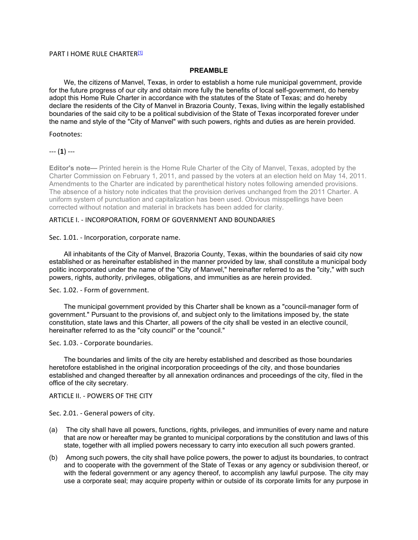#### PART I HOME RULE CHARTER<sup>[1]</sup>

#### **PREAMBLE**

We, the citizens of Manvel, Texas, in order to establish a home rule municipal government, provide for the future progress of our city and obtain more fully the benefits of local self-government, do hereby adopt this Home Rule Charter in accordance with the statutes of the State of Texas; and do hereby declare the residents of the City of Manvel in Brazoria County, Texas, living within the legally established boundaries of the said city to be a political subdivision of the State of Texas incorporated forever under the name and style of the "City of Manvel" with such powers, rights and duties as are herein provided.

# Footnotes:

--- (**1**) ---

**Editor's note—** Printed herein is the Home Rule Charter of the City of Manvel, Texas, adopted by the Charter Commission on February 1, 2011, and passed by the voters at an election held on May 14, 2011. Amendments to the Charter are indicated by parenthetical history notes following amended provisions. The absence of a history note indicates that the provision derives unchanged from the 2011 Charter. A uniform system of punctuation and capitalization has been used. Obvious misspellings have been corrected without notation and material in brackets has been added for clarity.

## ARTICLE I. - INCORPORATION, FORM OF GOVERNMENT AND BOUNDARIES

#### Sec. 1.01. - Incorporation, corporate name.

All inhabitants of the City of Manvel, Brazoria County, Texas, within the boundaries of said city now established or as hereinafter established in the manner provided by law, shall constitute a municipal body politic incorporated under the name of the "City of Manvel," hereinafter referred to as the "city," with such powers, rights, authority, privileges, obligations, and immunities as are herein provided.

### Sec. 1.02. - Form of government.

The municipal government provided by this Charter shall be known as a "council-manager form of government." Pursuant to the provisions of, and subject only to the limitations imposed by, the state constitution, state laws and this Charter, all powers of the city shall be vested in an elective council, hereinafter referred to as the "city council" or the "council."

Sec. 1.03. - Corporate boundaries.

The boundaries and limits of the city are hereby established and described as those boundaries heretofore established in the original incorporation proceedings of the city, and those boundaries established and changed thereafter by all annexation ordinances and proceedings of the city, filed in the office of the city secretary.

#### ARTICLE II. - POWERS OF THE CITY

Sec. 2.01. - General powers of city.

- (a) The city shall have all powers, functions, rights, privileges, and immunities of every name and nature that are now or hereafter may be granted to municipal corporations by the constitution and laws of this state, together with all implied powers necessary to carry into execution all such powers granted.
- (b) Among such powers, the city shall have police powers, the power to adjust its boundaries, to contract and to cooperate with the government of the State of Texas or any agency or subdivision thereof, or with the federal government or any agency thereof, to accomplish any lawful purpose. The city may use a corporate seal; may acquire property within or outside of its corporate limits for any purpose in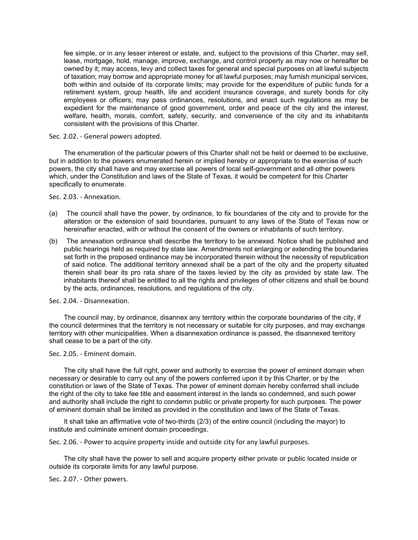fee simple, or in any lesser interest or estate, and, subject to the provisions of this Charter, may sell, lease, mortgage, hold, manage, improve, exchange, and control property as may now or hereafter be owned by it; may access, levy and collect taxes for general and special purposes on all lawful subjects of taxation; may borrow and appropriate money for all lawful purposes; may furnish municipal services, both within and outside of its corporate limits; may provide for the expenditure of public funds for a retirement system, group health, life and accident insurance coverage, and surety bonds for city employees or officers; may pass ordinances, resolutions, and enact such regulations as may be expedient for the maintenance of good government, order and peace of the city and the interest, welfare, health, morals, comfort, safety, security, and convenience of the city and its inhabitants consistent with the provisions of this Charter.

Sec. 2.02. - General powers adopted.

The enumeration of the particular powers of this Charter shall not be held or deemed to be exclusive, but in addition to the powers enumerated herein or implied hereby or appropriate to the exercise of such powers, the city shall have and may exercise all powers of local self-government and all other powers which, under the Constitution and laws of the State of Texas, it would be competent for this Charter specifically to enumerate.

Sec. 2.03. - Annexation.

- (a) The council shall have the power, by ordinance, to fix boundaries of the city and to provide for the alteration or the extension of said boundaries, pursuant to any laws of the State of Texas now or hereinafter enacted, with or without the consent of the owners or inhabitants of such territory.
- (b) The annexation ordinance shall describe the territory to be annexed. Notice shall be published and public hearings held as required by state law. Amendments not enlarging or extending the boundaries set forth in the proposed ordinance may be incorporated therein without the necessity of republication of said notice. The additional territory annexed shall be a part of the city and the property situated therein shall bear its pro rata share of the taxes levied by the city as provided by state law. The inhabitants thereof shall be entitled to all the rights and privileges of other citizens and shall be bound by the acts, ordinances, resolutions, and regulations of the city.

Sec. 2.04. - Disannexation.

The council may, by ordinance, disannex any territory within the corporate boundaries of the city, if the council determines that the territory is not necessary or suitable for city purposes, and may exchange territory with other municipalities. When a disannexation ordinance is passed, the disannexed territory shall cease to be a part of the city.

Sec. 2.05. - Eminent domain.

The city shall have the full right, power and authority to exercise the power of eminent domain when necessary or desirable to carry out any of the powers conferred upon it by this Charter, or by the constitution or laws of the State of Texas. The power of eminent domain hereby conferred shall include the right of the city to take fee title and easement interest in the lands so condemned, and such power and authority shall include the right to condemn public or private property for such purposes. The power of eminent domain shall be limited as provided in the constitution and laws of the State of Texas.

It shall take an affirmative vote of two-thirds (2/3) of the entire council (including the mayor) to institute and culminate eminent domain proceedings.

Sec. 2.06. - Power to acquire property inside and outside city for any lawful purposes.

The city shall have the power to sell and acquire property either private or public located inside or outside its corporate limits for any lawful purpose.

Sec. 2.07. - Other powers.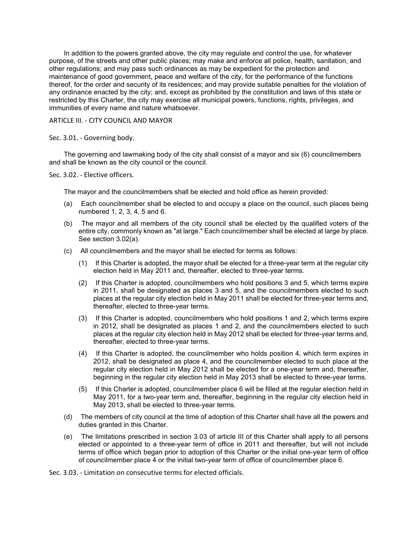In addition to the powers granted above, the city may regulate and control the use, for whatever purpose, of the streets and other public places; may make and enforce all police, health, sanitation, and other regulations; and may pass such ordinances as may be expedient for the protection and maintenance of good government, peace and welfare of the city, for the performance of the functions thereof, for the order and security of its residences; and may provide suitable penalties for the violation of any ordinance enacted by the city; and, except as prohibited by the constitution and laws of this state or restricted by this Charter, the city may exercise all municipal powers, functions, rights, privileges, and immunities of every name and nature whatsoever.

## ARTICLE III. - CITY COUNCIL AND MAYOR

## Sec. 3.01. - Governing body.

The governing and lawmaking body of the city shall consist of a mayor and six (6) councilmembers and shall be known as the city council or the council.

Sec. 3.02. - Elective officers.

The mayor and the councilmembers shall be elected and hold office as herein provided:

- (a) Each councilmember shall be elected to and occupy a place on the council, such places being numbered 1, 2, 3, 4, 5 and 6.
- (b) The mayor and all members of the city council shall be elected by the qualified voters of the entire city, commonly known as "at large." Each councilmember shall be elected at large by place. See section 3.02(a).
- (c) All councilmembers and the mayor shall be elected for terms as follows:
	- (1) If this Charter is adopted, the mayor shall be elected for a three-year term at the regular city election held in May 2011 and, thereafter, elected to three-year terms.
	- (2) If this Charter is adopted, councilmembers who hold positions 3 and 5, which terms expire in 2011, shall be designated as places 3 and 5, and the councilmembers elected to such places at the regular city election held in May 2011 shall be elected for three-year terms and, thereafter, elected to three-year terms.
	- (3) If this Charter is adopted, councilmembers who hold positions 1 and 2, which terms expire in 2012, shall be designated as places 1 and 2, and the councilmembers elected to such places at the regular city election held in May 2012 shall be elected for three-year terms and, thereafter, elected to three-year terms.
	- (4) If this Charter is adopted, the councilmember who holds position 4, which term expires in 2012, shall be designated as place 4, and the councilmember elected to such place at the regular city election held in May 2012 shall be elected for a one-year term and, thereafter, beginning in the regular city election held in May 2013 shall be elected to three-year terms.
	- (5) If this Charter is adopted, councilmember place 6 will be filled at the regular election held in May 2011, for a two-year term and, thereafter, beginning in the regular city election held in May 2013, shall be elected to three-year terms.
- (d) The members of city council at the time of adoption of this Charter shall have all the powers and duties granted in this Charter.
- (e) The limitations prescribed in section 3.03 of article III of this Charter shall apply to all persons elected or appointed to a three-year term of office in 2011 and thereafter, but will not include terms of office which began prior to adoption of this Charter or the initial one-year term of office of councilmember place 4 or the initial two-year term of office of councilmember place 6.

Sec. 3.03. - Limitation on consecutive terms for elected officials.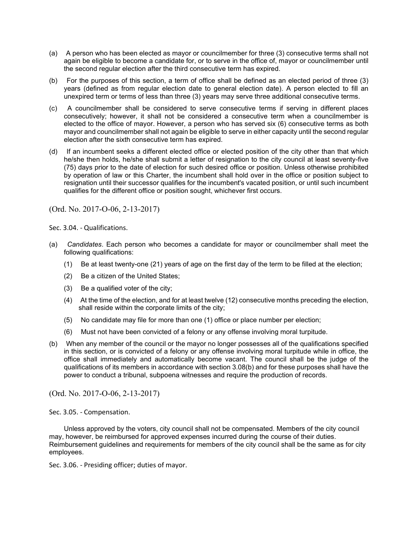- (a) A person who has been elected as mayor or councilmember for three (3) consecutive terms shall not again be eligible to become a candidate for, or to serve in the office of, mayor or councilmember until the second regular election after the third consecutive term has expired.
- (b) For the purposes of this section, a term of office shall be defined as an elected period of three (3) years (defined as from regular election date to general election date). A person elected to fill an unexpired term or terms of less than three (3) years may serve three additional consecutive terms.
- (c) A councilmember shall be considered to serve consecutive terms if serving in different places consecutively; however, it shall not be considered a consecutive term when a councilmember is elected to the office of mayor. However, a person who has served six (6) consecutive terms as both mayor and councilmember shall not again be eligible to serve in either capacity until the second regular election after the sixth consecutive term has expired.
- (d) If an incumbent seeks a different elected office or elected position of the city other than that which he/she then holds, he/she shall submit a letter of resignation to the city council at least seventy-five (75) days prior to the date of election for such desired office or position. Unless otherwise prohibited by operation of law or this Charter, the incumbent shall hold over in the office or position subject to resignation until their successor qualifies for the incumbent's vacated position, or until such incumbent qualifies for the different office or position sought, whichever first occurs.

(Ord. No. 2017-O-06, 2-13-2017)

Sec. 3.04. - Qualifications.

- (a) *Candidates*. Each person who becomes a candidate for mayor or councilmember shall meet the following qualifications:
	- (1) Be at least twenty-one (21) years of age on the first day of the term to be filled at the election;
	- (2) Be a citizen of the United States;
	- (3) Be a qualified voter of the city;
	- (4) At the time of the election, and for at least twelve (12) consecutive months preceding the election, shall reside within the corporate limits of the city;
	- (5) No candidate may file for more than one (1) office or place number per election;
	- (6) Must not have been convicted of a felony or any offense involving moral turpitude.
- (b) When any member of the council or the mayor no longer possesses all of the qualifications specified in this section, or is convicted of a felony or any offense involving moral turpitude while in office, the office shall immediately and automatically become vacant. The council shall be the judge of the qualifications of its members in accordance with section 3.08(b) and for these purposes shall have the power to conduct a tribunal, subpoena witnesses and require the production of records.

(Ord. No. 2017-O-06, 2-13-2017)

Sec. 3.05. - Compensation.

Unless approved by the voters, city council shall not be compensated. Members of the city council may, however, be reimbursed for approved expenses incurred during the course of their duties. Reimbursement guidelines and requirements for members of the city council shall be the same as for city employees.

Sec. 3.06. - Presiding officer; duties of mayor.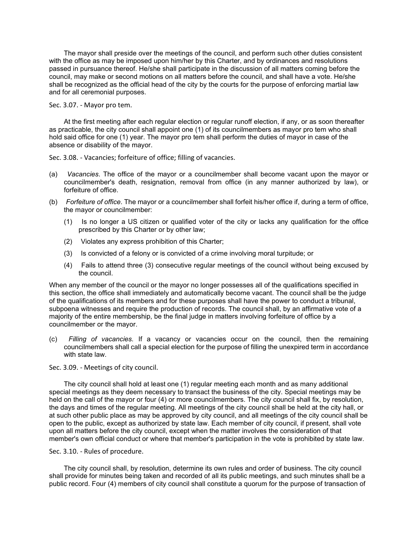The mayor shall preside over the meetings of the council, and perform such other duties consistent with the office as may be imposed upon him/her by this Charter, and by ordinances and resolutions passed in pursuance thereof. He/she shall participate in the discussion of all matters coming before the council, may make or second motions on all matters before the council, and shall have a vote. He/she shall be recognized as the official head of the city by the courts for the purpose of enforcing martial law and for all ceremonial purposes.

Sec. 3.07. - Mayor pro tem.

At the first meeting after each regular election or regular runoff election, if any, or as soon thereafter as practicable, the city council shall appoint one (1) of its councilmembers as mayor pro tem who shall hold said office for one (1) year. The mayor pro tem shall perform the duties of mayor in case of the absence or disability of the mayor.

Sec. 3.08. - Vacancies; forfeiture of office; filling of vacancies.

- (a) *Vacancies*. The office of the mayor or a councilmember shall become vacant upon the mayor or councilmember's death, resignation, removal from office (in any manner authorized by law), or forfeiture of office.
- (b) *Forfeiture of office*. The mayor or a councilmember shall forfeit his/her office if, during a term of office, the mayor or councilmember:
	- (1) Is no longer a US citizen or qualified voter of the city or lacks any qualification for the office prescribed by this Charter or by other law;
	- (2) Violates any express prohibition of this Charter;
	- (3) Is convicted of a felony or is convicted of a crime involving moral turpitude; or
	- (4) Fails to attend three (3) consecutive regular meetings of the council without being excused by the council.

When any member of the council or the mayor no longer possesses all of the qualifications specified in this section, the office shall immediately and automatically become vacant. The council shall be the judge of the qualifications of its members and for these purposes shall have the power to conduct a tribunal, subpoena witnesses and require the production of records. The council shall, by an affirmative vote of a majority of the entire membership, be the final judge in matters involving forfeiture of office by a councilmember or the mayor.

(c) *Filling of vacancies.* If a vacancy or vacancies occur on the council, then the remaining councilmembers shall call a special election for the purpose of filling the unexpired term in accordance with state law.

Sec. 3.09. - Meetings of city council.

The city council shall hold at least one (1) regular meeting each month and as many additional special meetings as they deem necessary to transact the business of the city. Special meetings may be held on the call of the mayor or four (4) or more councilmembers. The city council shall fix, by resolution, the days and times of the regular meeting. All meetings of the city council shall be held at the city hall, or at such other public place as may be approved by city council, and all meetings of the city council shall be open to the public, except as authorized by state law. Each member of city council, if present, shall vote upon all matters before the city council, except when the matter involves the consideration of that member's own official conduct or where that member's participation in the vote is prohibited by state law.

#### Sec. 3.10. - Rules of procedure.

The city council shall, by resolution, determine its own rules and order of business. The city council shall provide for minutes being taken and recorded of all its public meetings, and such minutes shall be a public record. Four (4) members of city council shall constitute a quorum for the purpose of transaction of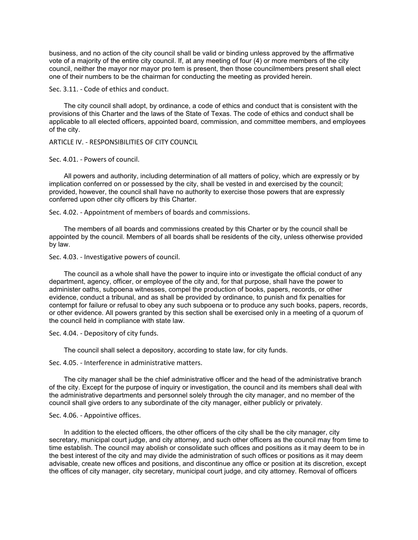business, and no action of the city council shall be valid or binding unless approved by the affirmative vote of a majority of the entire city council. If, at any meeting of four (4) or more members of the city council, neither the mayor nor mayor pro tem is present, then those councilmembers present shall elect one of their numbers to be the chairman for conducting the meeting as provided herein.

Sec. 3.11. - Code of ethics and conduct.

The city council shall adopt, by ordinance, a code of ethics and conduct that is consistent with the provisions of this Charter and the laws of the State of Texas. The code of ethics and conduct shall be applicable to all elected officers, appointed board, commission, and committee members, and employees of the city.

ARTICLE IV. - RESPONSIBILITIES OF CITY COUNCIL

Sec. 4.01. - Powers of council.

All powers and authority, including determination of all matters of policy, which are expressly or by implication conferred on or possessed by the city, shall be vested in and exercised by the council; provided, however, the council shall have no authority to exercise those powers that are expressly conferred upon other city officers by this Charter.

Sec. 4.02. - Appointment of members of boards and commissions.

The members of all boards and commissions created by this Charter or by the council shall be appointed by the council. Members of all boards shall be residents of the city, unless otherwise provided by law.

Sec. 4.03. - Investigative powers of council.

The council as a whole shall have the power to inquire into or investigate the official conduct of any department, agency, officer, or employee of the city and, for that purpose, shall have the power to administer oaths, subpoena witnesses, compel the production of books, papers, records, or other evidence, conduct a tribunal, and as shall be provided by ordinance, to punish and fix penalties for contempt for failure or refusal to obey any such subpoena or to produce any such books, papers, records, or other evidence. All powers granted by this section shall be exercised only in a meeting of a quorum of the council held in compliance with state law.

Sec. 4.04. - Depository of city funds.

The council shall select a depository, according to state law, for city funds.

Sec. 4.05. - Interference in administrative matters.

The city manager shall be the chief administrative officer and the head of the administrative branch of the city. Except for the purpose of inquiry or investigation, the council and its members shall deal with the administrative departments and personnel solely through the city manager, and no member of the council shall give orders to any subordinate of the city manager, either publicly or privately.

## Sec. 4.06. - Appointive offices.

In addition to the elected officers, the other officers of the city shall be the city manager, city secretary, municipal court judge, and city attorney, and such other officers as the council may from time to time establish. The council may abolish or consolidate such offices and positions as it may deem to be in the best interest of the city and may divide the administration of such offices or positions as it may deem advisable, create new offices and positions, and discontinue any office or position at its discretion, except the offices of city manager, city secretary, municipal court judge, and city attorney. Removal of officers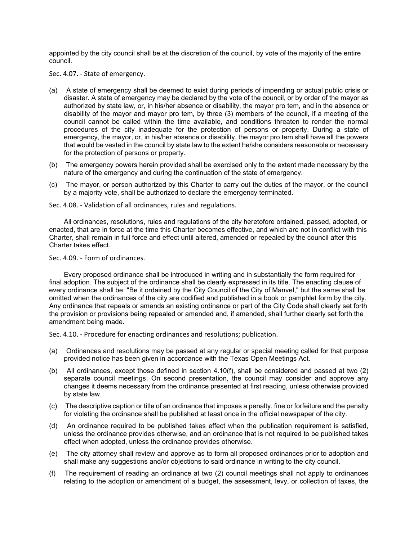appointed by the city council shall be at the discretion of the council, by vote of the majority of the entire council.

Sec. 4.07. - State of emergency.

- (a) A state of emergency shall be deemed to exist during periods of impending or actual public crisis or disaster. A state of emergency may be declared by the vote of the council, or by order of the mayor as authorized by state law, or, in his/her absence or disability, the mayor pro tem, and in the absence or disability of the mayor and mayor pro tem, by three (3) members of the council, if a meeting of the council cannot be called within the time available, and conditions threaten to render the normal procedures of the city inadequate for the protection of persons or property. During a state of emergency, the mayor, or, in his/her absence or disability, the mayor pro tem shall have all the powers that would be vested in the council by state law to the extent he/she considers reasonable or necessary for the protection of persons or property.
- (b) The emergency powers herein provided shall be exercised only to the extent made necessary by the nature of the emergency and during the continuation of the state of emergency.
- (c) The mayor, or person authorized by this Charter to carry out the duties of the mayor, or the council by a majority vote, shall be authorized to declare the emergency terminated.

Sec. 4.08. - Validation of all ordinances, rules and regulations.

All ordinances, resolutions, rules and regulations of the city heretofore ordained, passed, adopted, or enacted, that are in force at the time this Charter becomes effective, and which are not in conflict with this Charter, shall remain in full force and effect until altered, amended or repealed by the council after this Charter takes effect.

Sec. 4.09. - Form of ordinances.

Every proposed ordinance shall be introduced in writing and in substantially the form required for final adoption. The subject of the ordinance shall be clearly expressed in its title. The enacting clause of every ordinance shall be: "Be it ordained by the City Council of the City of Manvel," but the same shall be omitted when the ordinances of the city are codified and published in a book or pamphlet form by the city. Any ordinance that repeals or amends an existing ordinance or part of the City Code shall clearly set forth the provision or provisions being repealed or amended and, if amended, shall further clearly set forth the amendment being made.

Sec. 4.10. - Procedure for enacting ordinances and resolutions; publication.

- (a) Ordinances and resolutions may be passed at any regular or special meeting called for that purpose provided notice has been given in accordance with the Texas Open Meetings Act.
- (b) All ordinances, except those defined in section 4.10(f), shall be considered and passed at two (2) separate council meetings. On second presentation, the council may consider and approve any changes it deems necessary from the ordinance presented at first reading, unless otherwise provided by state law.
- (c) The descriptive caption or title of an ordinance that imposes a penalty, fine or forfeiture and the penalty for violating the ordinance shall be published at least once in the official newspaper of the city.
- (d) An ordinance required to be published takes effect when the publication requirement is satisfied, unless the ordinance provides otherwise, and an ordinance that is not required to be published takes effect when adopted, unless the ordinance provides otherwise.
- (e) The city attorney shall review and approve as to form all proposed ordinances prior to adoption and shall make any suggestions and/or objections to said ordinance in writing to the city council.
- (f) The requirement of reading an ordinance at two (2) council meetings shall not apply to ordinances relating to the adoption or amendment of a budget, the assessment, levy, or collection of taxes, the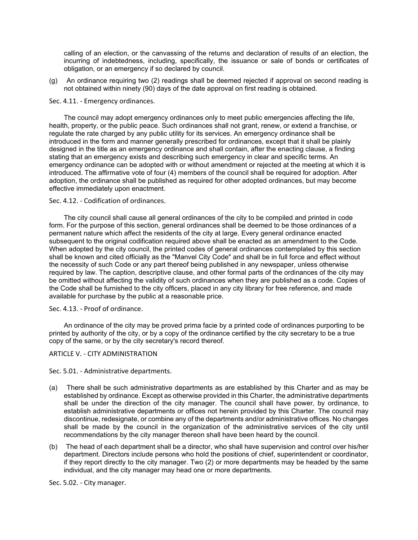calling of an election, or the canvassing of the returns and declaration of results of an election, the incurring of indebtedness, including, specifically, the issuance or sale of bonds or certificates of obligation, or an emergency if so declared by council.

(g) An ordinance requiring two (2) readings shall be deemed rejected if approval on second reading is not obtained within ninety (90) days of the date approval on first reading is obtained.

# Sec. 4.11. - Emergency ordinances.

The council may adopt emergency ordinances only to meet public emergencies affecting the life, health, property, or the public peace. Such ordinances shall not grant, renew, or extend a franchise, or regulate the rate charged by any public utility for its services. An emergency ordinance shall be introduced in the form and manner generally prescribed for ordinances, except that it shall be plainly designed in the title as an emergency ordinance and shall contain, after the enacting clause, a finding stating that an emergency exists and describing such emergency in clear and specific terms. An emergency ordinance can be adopted with or without amendment or rejected at the meeting at which it is introduced. The affirmative vote of four (4) members of the council shall be required for adoption. After adoption, the ordinance shall be published as required for other adopted ordinances, but may become effective immediately upon enactment.

## Sec. 4.12. - Codification of ordinances.

The city council shall cause all general ordinances of the city to be compiled and printed in code form. For the purpose of this section, general ordinances shall be deemed to be those ordinances of a permanent nature which affect the residents of the city at large. Every general ordinance enacted subsequent to the original codification required above shall be enacted as an amendment to the Code. When adopted by the city council, the printed codes of general ordinances contemplated by this section shall be known and cited officially as the "Manvel City Code" and shall be in full force and effect without the necessity of such Code or any part thereof being published in any newspaper, unless otherwise required by law. The caption, descriptive clause, and other formal parts of the ordinances of the city may be omitted without affecting the validity of such ordinances when they are published as a code. Copies of the Code shall be furnished to the city officers, placed in any city library for free reference, and made available for purchase by the public at a reasonable price.

### Sec. 4.13. - Proof of ordinance.

An ordinance of the city may be proved prima facie by a printed code of ordinances purporting to be printed by authority of the city, or by a copy of the ordinance certified by the city secretary to be a true copy of the same, or by the city secretary's record thereof.

# ARTICLE V. - CITY ADMINISTRATION

Sec. 5.01. - Administrative departments.

- (a) There shall be such administrative departments as are established by this Charter and as may be established by ordinance. Except as otherwise provided in this Charter, the administrative departments shall be under the direction of the city manager. The council shall have power, by ordinance, to establish administrative departments or offices not herein provided by this Charter. The council may discontinue, redesignate, or combine any of the departments and/or administrative offices. No changes shall be made by the council in the organization of the administrative services of the city until recommendations by the city manager thereon shall have been heard by the council.
- (b) The head of each department shall be a director, who shall have supervision and control over his/her department. Directors include persons who hold the positions of chief, superintendent or coordinator, if they report directly to the city manager. Two (2) or more departments may be headed by the same individual, and the city manager may head one or more departments.

Sec. 5.02. - City manager.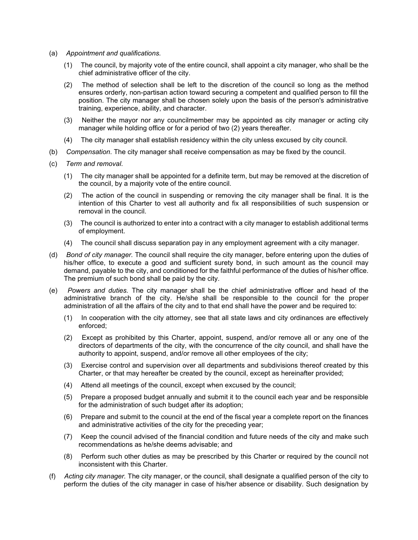- (a) *Appointment and qualifications.*
	- (1) The council, by majority vote of the entire council, shall appoint a city manager, who shall be the chief administrative officer of the city.
	- (2) The method of selection shall be left to the discretion of the council so long as the method ensures orderly, non-partisan action toward securing a competent and qualified person to fill the position. The city manager shall be chosen solely upon the basis of the person's administrative training, experience, ability, and character.
	- (3) Neither the mayor nor any councilmember may be appointed as city manager or acting city manager while holding office or for a period of two (2) years thereafter.
	- (4) The city manager shall establish residency within the city unless excused by city council.
- (b) *Compensation*. The city manager shall receive compensation as may be fixed by the council.
- (c) *Term and removal*.
	- (1) The city manager shall be appointed for a definite term, but may be removed at the discretion of the council, by a majority vote of the entire council.
	- (2) The action of the council in suspending or removing the city manager shall be final. It is the intention of this Charter to vest all authority and fix all responsibilities of such suspension or removal in the council.
	- (3) The council is authorized to enter into a contract with a city manager to establish additional terms of employment.
	- (4) The council shall discuss separation pay in any employment agreement with a city manager.
- (d) *Bond of city manager.* The council shall require the city manager, before entering upon the duties of his/her office, to execute a good and sufficient surety bond, in such amount as the council may demand, payable to the city, and conditioned for the faithful performance of the duties of his/her office. The premium of such bond shall be paid by the city.
- (e) *Powers and duties.* The city manager shall be the chief administrative officer and head of the administrative branch of the city. He/she shall be responsible to the council for the proper administration of all the affairs of the city and to that end shall have the power and be required to:
	- (1) In cooperation with the city attorney, see that all state laws and city ordinances are effectively enforced;
	- (2) Except as prohibited by this Charter, appoint, suspend, and/or remove all or any one of the directors of departments of the city, with the concurrence of the city council, and shall have the authority to appoint, suspend, and/or remove all other employees of the city;
	- (3) Exercise control and supervision over all departments and subdivisions thereof created by this Charter, or that may hereafter be created by the council, except as hereinafter provided;
	- (4) Attend all meetings of the council, except when excused by the council;
	- (5) Prepare a proposed budget annually and submit it to the council each year and be responsible for the administration of such budget after its adoption;
	- (6) Prepare and submit to the council at the end of the fiscal year a complete report on the finances and administrative activities of the city for the preceding year;
	- (7) Keep the council advised of the financial condition and future needs of the city and make such recommendations as he/she deems advisable; and
	- (8) Perform such other duties as may be prescribed by this Charter or required by the council not inconsistent with this Charter.
- (f) *Acting city manager.* The city manager, or the council, shall designate a qualified person of the city to perform the duties of the city manager in case of his/her absence or disability. Such designation by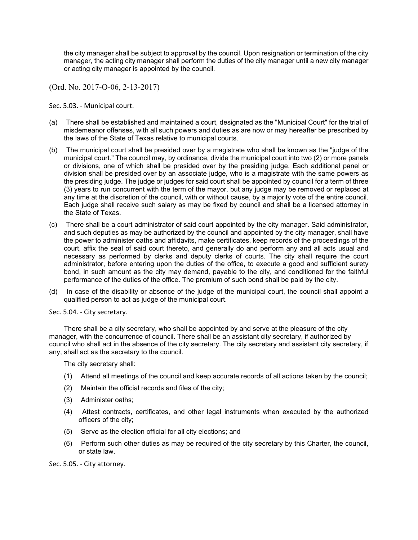the city manager shall be subject to approval by the council. Upon resignation or termination of the city manager, the acting city manager shall perform the duties of the city manager until a new city manager or acting city manager is appointed by the council.

(Ord. No. 2017-O-06, 2-13-2017)

Sec. 5.03. - Municipal court.

- (a) There shall be established and maintained a court, designated as the "Municipal Court" for the trial of misdemeanor offenses, with all such powers and duties as are now or may hereafter be prescribed by the laws of the State of Texas relative to municipal courts.
- (b) The municipal court shall be presided over by a magistrate who shall be known as the "judge of the municipal court." The council may, by ordinance, divide the municipal court into two (2) or more panels or divisions, one of which shall be presided over by the presiding judge. Each additional panel or division shall be presided over by an associate judge, who is a magistrate with the same powers as the presiding judge. The judge or judges for said court shall be appointed by council for a term of three (3) years to run concurrent with the term of the mayor, but any judge may be removed or replaced at any time at the discretion of the council, with or without cause, by a majority vote of the entire council. Each judge shall receive such salary as may be fixed by council and shall be a licensed attorney in the State of Texas.
- (c) There shall be a court administrator of said court appointed by the city manager. Said administrator, and such deputies as may be authorized by the council and appointed by the city manager, shall have the power to administer oaths and affidavits, make certificates, keep records of the proceedings of the court, affix the seal of said court thereto, and generally do and perform any and all acts usual and necessary as performed by clerks and deputy clerks of courts. The city shall require the court administrator, before entering upon the duties of the office, to execute a good and sufficient surety bond, in such amount as the city may demand, payable to the city, and conditioned for the faithful performance of the duties of the office. The premium of such bond shall be paid by the city.
- (d) In case of the disability or absence of the judge of the municipal court, the council shall appoint a qualified person to act as judge of the municipal court.

Sec. 5.04. - City secretary.

There shall be a city secretary, who shall be appointed by and serve at the pleasure of the city manager, with the concurrence of council. There shall be an assistant city secretary, if authorized by council who shall act in the absence of the city secretary. The city secretary and assistant city secretary, if any, shall act as the secretary to the council.

The city secretary shall:

- (1) Attend all meetings of the council and keep accurate records of all actions taken by the council;
- (2) Maintain the official records and files of the city;
- (3) Administer oaths;
- (4) Attest contracts, certificates, and other legal instruments when executed by the authorized officers of the city;
- (5) Serve as the election official for all city elections; and
- (6) Perform such other duties as may be required of the city secretary by this Charter, the council, or state law.

Sec. 5.05. - City attorney.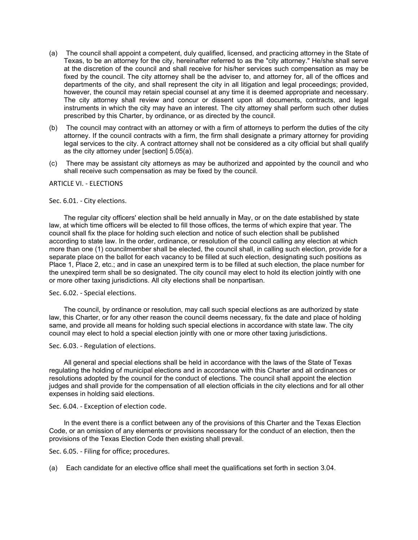- (a) The council shall appoint a competent, duly qualified, licensed, and practicing attorney in the State of Texas, to be an attorney for the city, hereinafter referred to as the "city attorney." He/she shall serve at the discretion of the council and shall receive for his/her services such compensation as may be fixed by the council. The city attorney shall be the adviser to, and attorney for, all of the offices and departments of the city, and shall represent the city in all litigation and legal proceedings; provided, however, the council may retain special counsel at any time it is deemed appropriate and necessary. The city attorney shall review and concur or dissent upon all documents, contracts, and legal instruments in which the city may have an interest. The city attorney shall perform such other duties prescribed by this Charter, by ordinance, or as directed by the council.
- (b) The council may contract with an attorney or with a firm of attorneys to perform the duties of the city attorney. If the council contracts with a firm, the firm shall designate a primary attorney for providing legal services to the city. A contract attorney shall not be considered as a city official but shall qualify as the city attorney under [section] 5.05(a).
- (c) There may be assistant city attorneys as may be authorized and appointed by the council and who shall receive such compensation as may be fixed by the council.

# ARTICLE VI. - ELECTIONS

#### Sec. 6.01. - City elections.

The regular city officers' election shall be held annually in May, or on the date established by state law, at which time officers will be elected to fill those offices, the terms of which expire that year. The council shall fix the place for holding such election and notice of such election shall be published according to state law. In the order, ordinance, or resolution of the council calling any election at which more than one (1) councilmember shall be elected, the council shall, in calling such election, provide for a separate place on the ballot for each vacancy to be filled at such election, designating such positions as Place 1, Place 2, etc.; and in case an unexpired term is to be filled at such election, the place number for the unexpired term shall be so designated. The city council may elect to hold its election jointly with one or more other taxing jurisdictions. All city elections shall be nonpartisan.

Sec. 6.02. - Special elections.

The council, by ordinance or resolution, may call such special elections as are authorized by state law, this Charter, or for any other reason the council deems necessary, fix the date and place of holding same, and provide all means for holding such special elections in accordance with state law. The city council may elect to hold a special election jointly with one or more other taxing jurisdictions.

Sec. 6.03. - Regulation of elections.

All general and special elections shall be held in accordance with the laws of the State of Texas regulating the holding of municipal elections and in accordance with this Charter and all ordinances or resolutions adopted by the council for the conduct of elections. The council shall appoint the election judges and shall provide for the compensation of all election officials in the city elections and for all other expenses in holding said elections.

Sec. 6.04. - Exception of election code.

In the event there is a conflict between any of the provisions of this Charter and the Texas Election Code, or an omission of any elements or provisions necessary for the conduct of an election, then the provisions of the Texas Election Code then existing shall prevail.

Sec. 6.05. - Filing for office; procedures.

(a) Each candidate for an elective office shall meet the qualifications set forth in section 3.04.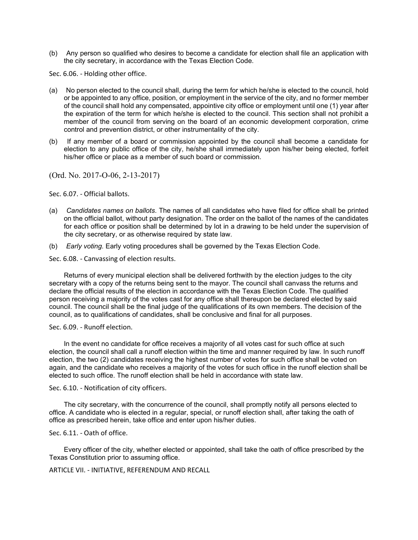(b) Any person so qualified who desires to become a candidate for election shall file an application with the city secretary, in accordance with the Texas Election Code.

Sec. 6.06. - Holding other office.

- (a) No person elected to the council shall, during the term for which he/she is elected to the council, hold or be appointed to any office, position, or employment in the service of the city, and no former member of the council shall hold any compensated, appointive city office or employment until one (1) year after the expiration of the term for which he/she is elected to the council. This section shall not prohibit a member of the council from serving on the board of an economic development corporation, crime control and prevention district, or other instrumentality of the city.
- (b) If any member of a board or commission appointed by the council shall become a candidate for election to any public office of the city, he/she shall immediately upon his/her being elected, forfeit his/her office or place as a member of such board or commission.

(Ord. No. 2017-O-06, 2-13-2017)

Sec. 6.07. - Official ballots.

- (a) *Candidates names on ballots*. The names of all candidates who have filed for office shall be printed on the official ballot, without party designation. The order on the ballot of the names of the candidates for each office or position shall be determined by lot in a drawing to be held under the supervision of the city secretary, or as otherwise required by state law.
- (b) *Early voting*. Early voting procedures shall be governed by the Texas Election Code.

Sec. 6.08. - Canvassing of election results.

Returns of every municipal election shall be delivered forthwith by the election judges to the city secretary with a copy of the returns being sent to the mayor. The council shall canvass the returns and declare the official results of the election in accordance with the Texas Election Code. The qualified person receiving a majority of the votes cast for any office shall thereupon be declared elected by said council. The council shall be the final judge of the qualifications of its own members. The decision of the council, as to qualifications of candidates, shall be conclusive and final for all purposes.

Sec. 6.09. - Runoff election.

In the event no candidate for office receives a majority of all votes cast for such office at such election, the council shall call a runoff election within the time and manner required by law. In such runoff election, the two (2) candidates receiving the highest number of votes for such office shall be voted on again, and the candidate who receives a majority of the votes for such office in the runoff election shall be elected to such office. The runoff election shall be held in accordance with state law.

Sec. 6.10. - Notification of city officers.

The city secretary, with the concurrence of the council, shall promptly notify all persons elected to office. A candidate who is elected in a regular, special, or runoff election shall, after taking the oath of office as prescribed herein, take office and enter upon his/her duties.

Sec. 6.11. - Oath of office.

Every officer of the city, whether elected or appointed, shall take the oath of office prescribed by the Texas Constitution prior to assuming office.

ARTICLE VII. - INITIATIVE, REFERENDUM AND RECALL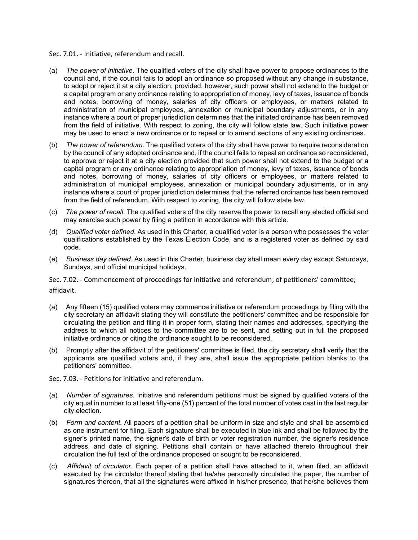Sec. 7.01. - Initiative, referendum and recall.

- (a) *The power of initiative*. The qualified voters of the city shall have power to propose ordinances to the council and, if the council fails to adopt an ordinance so proposed without any change in substance, to adopt or reject it at a city election; provided, however, such power shall not extend to the budget or a capital program or any ordinance relating to appropriation of money, levy of taxes, issuance of bonds and notes, borrowing of money, salaries of city officers or employees, or matters related to administration of municipal employees, annexation or municipal boundary adjustments, or in any instance where a court of proper jurisdiction determines that the initiated ordinance has been removed from the field of initiative. With respect to zoning, the city will follow state law. Such initiative power may be used to enact a new ordinance or to repeal or to amend sections of any existing ordinances.
- (b) *The power of referendum*. The qualified voters of the city shall have power to require reconsideration by the council of any adopted ordinance and, if the council fails to repeal an ordinance so reconsidered, to approve or reject it at a city election provided that such power shall not extend to the budget or a capital program or any ordinance relating to appropriation of money, levy of taxes, issuance of bonds and notes, borrowing of money, salaries of city officers or employees, or matters related to administration of municipal employees, annexation or municipal boundary adjustments, or in any instance where a court of proper jurisdiction determines that the referred ordinance has been removed from the field of referendum. With respect to zoning, the city will follow state law.
- (c) *The power of recall*. The qualified voters of the city reserve the power to recall any elected official and may exercise such power by filing a petition in accordance with this article.
- (d) *Qualified voter defined*. As used in this Charter, a qualified voter is a person who possesses the voter qualifications established by the Texas Election Code, and is a registered voter as defined by said code.
- (e) *Business day defined*. As used in this Charter, business day shall mean every day except Saturdays, Sundays, and official municipal holidays.

Sec. 7.02. - Commencement of proceedings for initiative and referendum; of petitioners' committee; affidavit.

- (a) Any fifteen (15) qualified voters may commence initiative or referendum proceedings by filing with the city secretary an affidavit stating they will constitute the petitioners' committee and be responsible for circulating the petition and filing it in proper form, stating their names and addresses, specifying the address to which all notices to the committee are to be sent, and setting out in full the proposed initiative ordinance or citing the ordinance sought to be reconsidered.
- (b) Promptly after the affidavit of the petitioners' committee is filed, the city secretary shall verify that the applicants are qualified voters and, if they are, shall issue the appropriate petition blanks to the petitioners' committee.
- Sec. 7.03. Petitions for initiative and referendum.
- (a) *Number of signatures*. Initiative and referendum petitions must be signed by qualified voters of the city equal in number to at least fifty-one (51) percent of the total number of votes cast in the last regular city election.
- (b) *Form and content.* All papers of a petition shall be uniform in size and style and shall be assembled as one instrument for filing. Each signature shall be executed in blue ink and shall be followed by the signer's printed name, the signer's date of birth or voter registration number, the signer's residence address, and date of signing. Petitions shall contain or have attached thereto throughout their circulation the full text of the ordinance proposed or sought to be reconsidered.
- (c) *Affidavit of circulator.* Each paper of a petition shall have attached to it, when filed, an affidavit executed by the circulator thereof stating that he/she personally circulated the paper, the number of signatures thereon, that all the signatures were affixed in his/her presence, that he/she believes them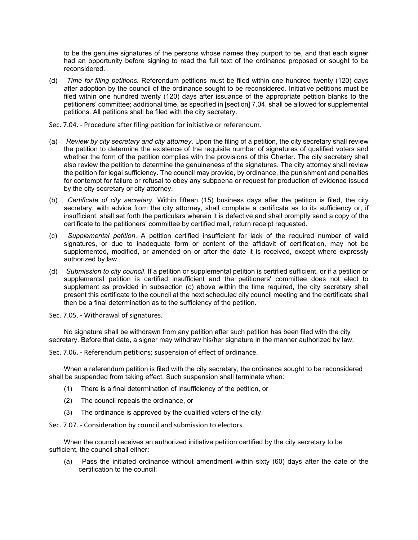to be the genuine signatures of the persons whose names they purport to be, and that each signer had an opportunity before signing to read the full text of the ordinance proposed or sought to be reconsidered.

- (d) *Time for filing petitions.* Referendum petitions must be filed within one hundred twenty (120) days after adoption by the council of the ordinance sought to be reconsidered. Initiative petitions must be filed within one hundred twenty (120) days after issuance of the appropriate petition blanks to the petitioners' committee; additional time, as specified in [section] 7.04, shall be allowed for supplemental petitions. All petitions shall be filed with the city secretary.
- Sec. 7.04. Procedure after filing petition for initiative or referendum.
- (a) *Review by city secretary and city attorney*. Upon the filing of a petition, the city secretary shall review the petition to determine the existence of the requisite number of signatures of qualified voters and whether the form of the petition complies with the provisions of this Charter. The city secretary shall also review the petition to determine the genuineness of the signatures. The city attorney shall review the petition for legal sufficiency. The council may provide, by ordinance, the punishment and penalties for contempt for failure or refusal to obey any subpoena or request for production of evidence issued by the city secretary or city attorney.
- (b) *Certificate of city secretary.* Within fifteen (15) business days after the petition is filed, the city secretary, with advice from the city attorney, shall complete a certificate as to its sufficiency or, if insufficient, shall set forth the particulars wherein it is defective and shall promptly send a copy of the certificate to the petitioners' committee by certified mail, return receipt requested.
- (c) *Supplemental petition*. A petition certified insufficient for lack of the required number of valid signatures, or due to inadequate form or content of the affidavit of certification, may not be supplemented, modified, or amended on or after the date it is received, except where expressly authorized by law.
- (d) *Submission to city council*. If a petition or supplemental petition is certified sufficient, or if a petition or supplemental petition is certified insufficient and the petitioners' committee does not elect to supplement as provided in subsection (c) above within the time required, the city secretary shall present this certificate to the council at the next scheduled city council meeting and the certificate shall then be a final determination as to the sufficiency of the petition.

Sec. 7.05. - Withdrawal of signatures.

No signature shall be withdrawn from any petition after such petition has been filed with the city secretary. Before that date, a signer may withdraw his/her signature in the manner authorized by law.

Sec. 7.06. - Referendum petitions; suspension of effect of ordinance.

When a referendum petition is filed with the city secretary, the ordinance sought to be reconsidered shall be suspended from taking effect. Such suspension shall terminate when:

- (1) There is a final determination of insufficiency of the petition, or
- (2) The council repeals the ordinance, or
- (3) The ordinance is approved by the qualified voters of the city.

Sec. 7.07. - Consideration by council and submission to electors.

When the council receives an authorized initiative petition certified by the city secretary to be sufficient, the council shall either:

(a) Pass the initiated ordinance without amendment within sixty (60) days after the date of the certification to the council;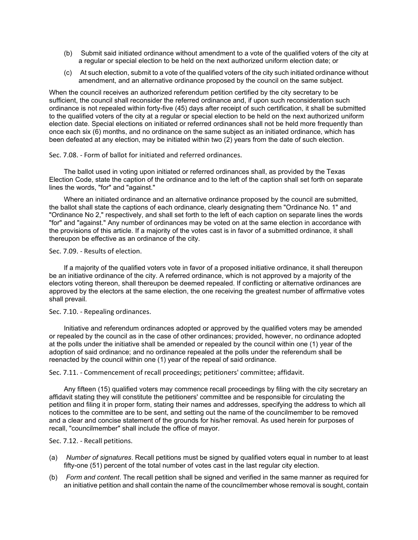- (b) Submit said initiated ordinance without amendment to a vote of the qualified voters of the city at a regular or special election to be held on the next authorized uniform election date; or
- (c) At such election, submit to a vote of the qualified voters of the city such initiated ordinance without amendment, and an alternative ordinance proposed by the council on the same subject.

When the council receives an authorized referendum petition certified by the city secretary to be sufficient, the council shall reconsider the referred ordinance and, if upon such reconsideration such ordinance is not repealed within forty-five (45) days after receipt of such certification, it shall be submitted to the qualified voters of the city at a regular or special election to be held on the next authorized uniform election date. Special elections on initiated or referred ordinances shall not be held more frequently than once each six (6) months, and no ordinance on the same subject as an initiated ordinance, which has been defeated at any election, may be initiated within two (2) years from the date of such election.

Sec. 7.08. - Form of ballot for initiated and referred ordinances.

The ballot used in voting upon initiated or referred ordinances shall, as provided by the Texas Election Code, state the caption of the ordinance and to the left of the caption shall set forth on separate lines the words, "for" and "against."

Where an initiated ordinance and an alternative ordinance proposed by the council are submitted, the ballot shall state the captions of each ordinance, clearly designating them "Ordinance No. 1" and "Ordinance No 2," respectively, and shall set forth to the left of each caption on separate lines the words "for" and "against." Any number of ordinances may be voted on at the same election in accordance with the provisions of this article. If a majority of the votes cast is in favor of a submitted ordinance, it shall thereupon be effective as an ordinance of the city.

Sec. 7.09. - Results of election.

If a majority of the qualified voters vote in favor of a proposed initiative ordinance, it shall thereupon be an initiative ordinance of the city. A referred ordinance, which is not approved by a majority of the electors voting thereon, shall thereupon be deemed repealed. If conflicting or alternative ordinances are approved by the electors at the same election, the one receiving the greatest number of affirmative votes shall prevail.

Sec. 7.10. - Repealing ordinances.

Initiative and referendum ordinances adopted or approved by the qualified voters may be amended or repealed by the council as in the case of other ordinances; provided, however, no ordinance adopted at the polls under the initiative shall be amended or repealed by the council within one (1) year of the adoption of said ordinance; and no ordinance repealed at the polls under the referendum shall be reenacted by the council within one (1) year of the repeal of said ordinance.

Sec. 7.11. - Commencement of recall proceedings; petitioners' committee; affidavit.

Any fifteen (15) qualified voters may commence recall proceedings by filing with the city secretary an affidavit stating they will constitute the petitioners' committee and be responsible for circulating the petition and filing it in proper form, stating their names and addresses, specifying the address to which all notices to the committee are to be sent, and setting out the name of the councilmember to be removed and a clear and concise statement of the grounds for his/her removal. As used herein for purposes of recall, "councilmember" shall include the office of mayor.

Sec. 7.12. - Recall petitions.

- (a) *Number of signatures*. Recall petitions must be signed by qualified voters equal in number to at least fifty-one (51) percent of the total number of votes cast in the last regular city election.
- (b) *Form and content*. The recall petition shall be signed and verified in the same manner as required for an initiative petition and shall contain the name of the councilmember whose removal is sought, contain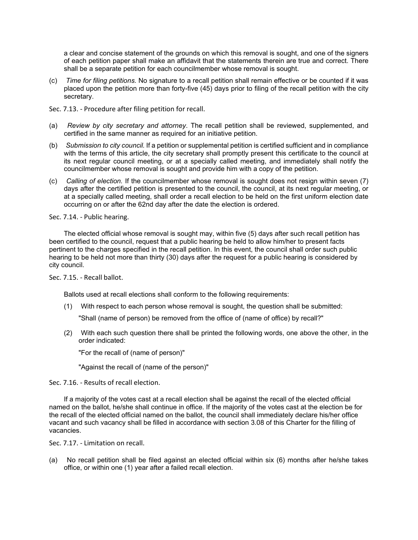a clear and concise statement of the grounds on which this removal is sought, and one of the signers of each petition paper shall make an affidavit that the statements therein are true and correct. There shall be a separate petition for each councilmember whose removal is sought.

- (c) *Time for filing petitions.* No signature to a recall petition shall remain effective or be counted if it was placed upon the petition more than forty-five (45) days prior to filing of the recall petition with the city secretary.
- Sec. 7.13. Procedure after filing petition for recall.
- (a) *Review by city secretary and attorney*. The recall petition shall be reviewed, supplemented, and certified in the same manner as required for an initiative petition.
- (b) *Submission to city council.* If a petition or supplemental petition is certified sufficient and in compliance with the terms of this article, the city secretary shall promptly present this certificate to the council at its next regular council meeting, or at a specially called meeting, and immediately shall notify the councilmember whose removal is sought and provide him with a copy of the petition.
- (c) *Calling of election.* If the councilmember whose removal is sought does not resign within seven (7) days after the certified petition is presented to the council, the council, at its next regular meeting, or at a specially called meeting, shall order a recall election to be held on the first uniform election date occurring on or after the 62nd day after the date the election is ordered.

Sec. 7.14. - Public hearing.

The elected official whose removal is sought may, within five (5) days after such recall petition has been certified to the council, request that a public hearing be held to allow him/her to present facts pertinent to the charges specified in the recall petition. In this event, the council shall order such public hearing to be held not more than thirty (30) days after the request for a public hearing is considered by city council.

Sec. 7.15. - Recall ballot.

Ballots used at recall elections shall conform to the following requirements:

(1) With respect to each person whose removal is sought, the question shall be submitted:

"Shall (name of person) be removed from the office of (name of office) by recall?"

(2) With each such question there shall be printed the following words, one above the other, in the order indicated:

"For the recall of (name of person)"

"Against the recall of (name of the person)"

Sec. 7.16. - Results of recall election.

If a majority of the votes cast at a recall election shall be against the recall of the elected official named on the ballot, he/she shall continue in office. If the majority of the votes cast at the election be for the recall of the elected official named on the ballot, the council shall immediately declare his/her office vacant and such vacancy shall be filled in accordance with section 3.08 of this Charter for the filling of vacancies.

Sec. 7.17. - Limitation on recall.

(a) No recall petition shall be filed against an elected official within six (6) months after he/she takes office, or within one (1) year after a failed recall election.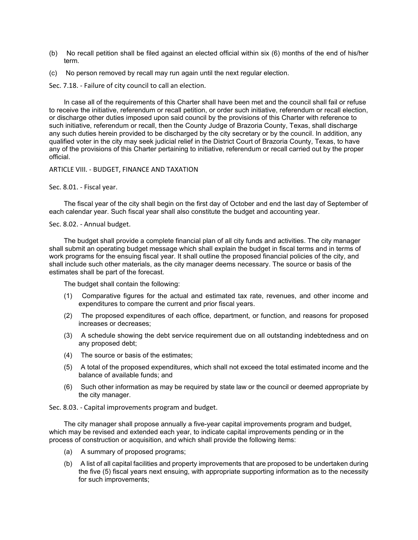- (b) No recall petition shall be filed against an elected official within six (6) months of the end of his/her term.
- (c) No person removed by recall may run again until the next regular election.

Sec. 7.18. - Failure of city council to call an election.

In case all of the requirements of this Charter shall have been met and the council shall fail or refuse to receive the initiative, referendum or recall petition, or order such initiative, referendum or recall election, or discharge other duties imposed upon said council by the provisions of this Charter with reference to such initiative, referendum or recall, then the County Judge of Brazoria County, Texas, shall discharge any such duties herein provided to be discharged by the city secretary or by the council. In addition, any qualified voter in the city may seek judicial relief in the District Court of Brazoria County, Texas, to have any of the provisions of this Charter pertaining to initiative, referendum or recall carried out by the proper official.

ARTICLE VIII. - BUDGET, FINANCE AND TAXATION

Sec. 8.01. - Fiscal year.

The fiscal year of the city shall begin on the first day of October and end the last day of September of each calendar year. Such fiscal year shall also constitute the budget and accounting year.

# Sec. 8.02. - Annual budget.

The budget shall provide a complete financial plan of all city funds and activities. The city manager shall submit an operating budget message which shall explain the budget in fiscal terms and in terms of work programs for the ensuing fiscal year. It shall outline the proposed financial policies of the city, and shall include such other materials, as the city manager deems necessary. The source or basis of the estimates shall be part of the forecast.

The budget shall contain the following:

- (1) Comparative figures for the actual and estimated tax rate, revenues, and other income and expenditures to compare the current and prior fiscal years.
- (2) The proposed expenditures of each office, department, or function, and reasons for proposed increases or decreases;
- (3) A schedule showing the debt service requirement due on all outstanding indebtedness and on any proposed debt;
- (4) The source or basis of the estimates;
- (5) A total of the proposed expenditures, which shall not exceed the total estimated income and the balance of available funds; and
- (6) Such other information as may be required by state law or the council or deemed appropriate by the city manager.

Sec. 8.03. - Capital improvements program and budget.

The city manager shall propose annually a five-year capital improvements program and budget, which may be revised and extended each year, to indicate capital improvements pending or in the process of construction or acquisition, and which shall provide the following items:

- (a) A summary of proposed programs;
- (b) A list of all capital facilities and property improvements that are proposed to be undertaken during the five (5) fiscal years next ensuing, with appropriate supporting information as to the necessity for such improvements;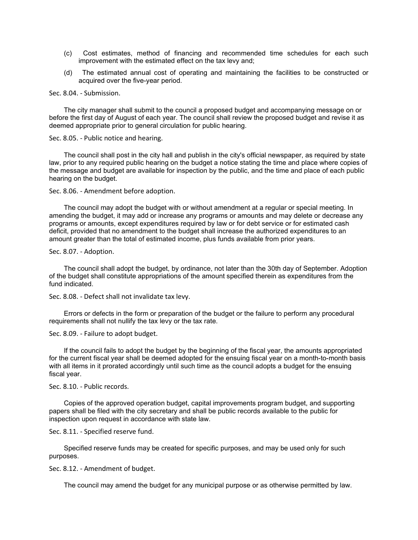- (c) Cost estimates, method of financing and recommended time schedules for each such improvement with the estimated effect on the tax levy and;
- (d) The estimated annual cost of operating and maintaining the facilities to be constructed or acquired over the five-year period.

Sec. 8.04. - Submission.

The city manager shall submit to the council a proposed budget and accompanying message on or before the first day of August of each year. The council shall review the proposed budget and revise it as deemed appropriate prior to general circulation for public hearing.

Sec. 8.05. - Public notice and hearing.

The council shall post in the city hall and publish in the city's official newspaper, as required by state law, prior to any required public hearing on the budget a notice stating the time and place where copies of the message and budget are available for inspection by the public, and the time and place of each public hearing on the budget.

Sec. 8.06. - Amendment before adoption.

The council may adopt the budget with or without amendment at a regular or special meeting. In amending the budget, it may add or increase any programs or amounts and may delete or decrease any programs or amounts, except expenditures required by law or for debt service or for estimated cash deficit, provided that no amendment to the budget shall increase the authorized expenditures to an amount greater than the total of estimated income, plus funds available from prior years.

Sec. 8.07. - Adoption.

The council shall adopt the budget, by ordinance, not later than the 30th day of September. Adoption of the budget shall constitute appropriations of the amount specified therein as expenditures from the fund indicated.

Sec. 8.08. - Defect shall not invalidate tax levy.

Errors or defects in the form or preparation of the budget or the failure to perform any procedural requirements shall not nullify the tax levy or the tax rate.

Sec. 8.09. - Failure to adopt budget.

If the council fails to adopt the budget by the beginning of the fiscal year, the amounts appropriated for the current fiscal year shall be deemed adopted for the ensuing fiscal year on a month-to-month basis with all items in it prorated accordingly until such time as the council adopts a budget for the ensuing fiscal year.

Sec. 8.10. - Public records.

Copies of the approved operation budget, capital improvements program budget, and supporting papers shall be filed with the city secretary and shall be public records available to the public for inspection upon request in accordance with state law.

Sec. 8.11. - Specified reserve fund.

Specified reserve funds may be created for specific purposes, and may be used only for such purposes.

Sec. 8.12. - Amendment of budget.

The council may amend the budget for any municipal purpose or as otherwise permitted by law.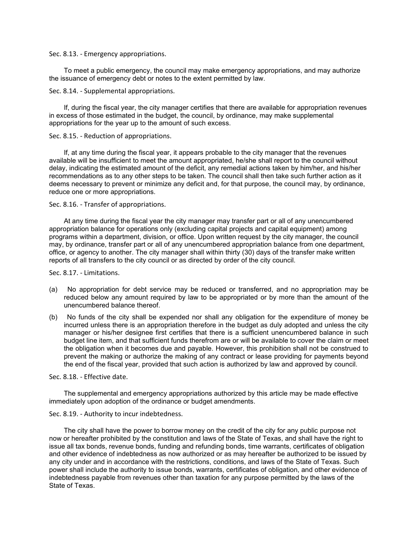Sec. 8.13. - Emergency appropriations.

To meet a public emergency, the council may make emergency appropriations, and may authorize the issuance of emergency debt or notes to the extent permitted by law.

Sec. 8.14. - Supplemental appropriations.

If, during the fiscal year, the city manager certifies that there are available for appropriation revenues in excess of those estimated in the budget, the council, by ordinance, may make supplemental appropriations for the year up to the amount of such excess.

Sec. 8.15. - Reduction of appropriations.

If, at any time during the fiscal year, it appears probable to the city manager that the revenues available will be insufficient to meet the amount appropriated, he/she shall report to the council without delay, indicating the estimated amount of the deficit, any remedial actions taken by him/her, and his/her recommendations as to any other steps to be taken. The council shall then take such further action as it deems necessary to prevent or minimize any deficit and, for that purpose, the council may, by ordinance, reduce one or more appropriations.

Sec. 8.16. - Transfer of appropriations.

At any time during the fiscal year the city manager may transfer part or all of any unencumbered appropriation balance for operations only (excluding capital projects and capital equipment) among programs within a department, division, or office. Upon written request by the city manager, the council may, by ordinance, transfer part or all of any unencumbered appropriation balance from one department, office, or agency to another. The city manager shall within thirty (30) days of the transfer make written reports of all transfers to the city council or as directed by order of the city council.

Sec. 8.17. - Limitations.

- (a) No appropriation for debt service may be reduced or transferred, and no appropriation may be reduced below any amount required by law to be appropriated or by more than the amount of the unencumbered balance thereof.
- (b) No funds of the city shall be expended nor shall any obligation for the expenditure of money be incurred unless there is an appropriation therefore in the budget as duly adopted and unless the city manager or his/her designee first certifies that there is a sufficient unencumbered balance in such budget line item, and that sufficient funds therefrom are or will be available to cover the claim or meet the obligation when it becomes due and payable. However, this prohibition shall not be construed to prevent the making or authorize the making of any contract or lease providing for payments beyond the end of the fiscal year, provided that such action is authorized by law and approved by council.

Sec. 8.18. - Effective date.

The supplemental and emergency appropriations authorized by this article may be made effective immediately upon adoption of the ordinance or budget amendments.

#### Sec. 8.19. - Authority to incur indebtedness.

The city shall have the power to borrow money on the credit of the city for any public purpose not now or hereafter prohibited by the constitution and laws of the State of Texas, and shall have the right to issue all tax bonds, revenue bonds, funding and refunding bonds, time warrants, certificates of obligation and other evidence of indebtedness as now authorized or as may hereafter be authorized to be issued by any city under and in accordance with the restrictions, conditions, and laws of the State of Texas. Such power shall include the authority to issue bonds, warrants, certificates of obligation, and other evidence of indebtedness payable from revenues other than taxation for any purpose permitted by the laws of the State of Texas.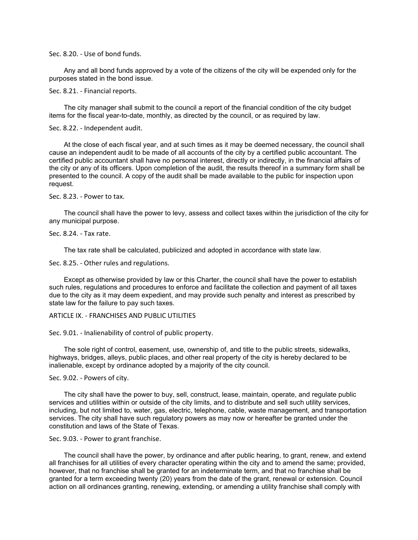Sec. 8.20. - Use of bond funds.

Any and all bond funds approved by a vote of the citizens of the city will be expended only for the purposes stated in the bond issue.

Sec. 8.21. - Financial reports.

The city manager shall submit to the council a report of the financial condition of the city budget items for the fiscal year-to-date, monthly, as directed by the council, or as required by law.

Sec. 8.22. - Independent audit.

At the close of each fiscal year, and at such times as it may be deemed necessary, the council shall cause an independent audit to be made of all accounts of the city by a certified public accountant. The certified public accountant shall have no personal interest, directly or indirectly, in the financial affairs of the city or any of its officers. Upon completion of the audit, the results thereof in a summary form shall be presented to the council. A copy of the audit shall be made available to the public for inspection upon request.

Sec. 8.23. - Power to tax.

The council shall have the power to levy, assess and collect taxes within the jurisdiction of the city for any municipal purpose.

#### Sec. 8.24. - Tax rate.

The tax rate shall be calculated, publicized and adopted in accordance with state law.

Sec. 8.25. - Other rules and regulations.

Except as otherwise provided by law or this Charter, the council shall have the power to establish such rules, regulations and procedures to enforce and facilitate the collection and payment of all taxes due to the city as it may deem expedient, and may provide such penalty and interest as prescribed by state law for the failure to pay such taxes.

ARTICLE IX. - FRANCHISES AND PUBLIC UTILITIES

Sec. 9.01. - Inalienability of control of public property.

The sole right of control, easement, use, ownership of, and title to the public streets, sidewalks, highways, bridges, alleys, public places, and other real property of the city is hereby declared to be inalienable, except by ordinance adopted by a majority of the city council.

Sec. 9.02. - Powers of city.

The city shall have the power to buy, sell, construct, lease, maintain, operate, and regulate public services and utilities within or outside of the city limits, and to distribute and sell such utility services, including, but not limited to, water, gas, electric, telephone, cable, waste management, and transportation services. The city shall have such regulatory powers as may now or hereafter be granted under the constitution and laws of the State of Texas.

Sec. 9.03. - Power to grant franchise.

The council shall have the power, by ordinance and after public hearing, to grant, renew, and extend all franchises for all utilities of every character operating within the city and to amend the same; provided, however, that no franchise shall be granted for an indeterminate term, and that no franchise shall be granted for a term exceeding twenty (20) years from the date of the grant, renewal or extension. Council action on all ordinances granting, renewing, extending, or amending a utility franchise shall comply with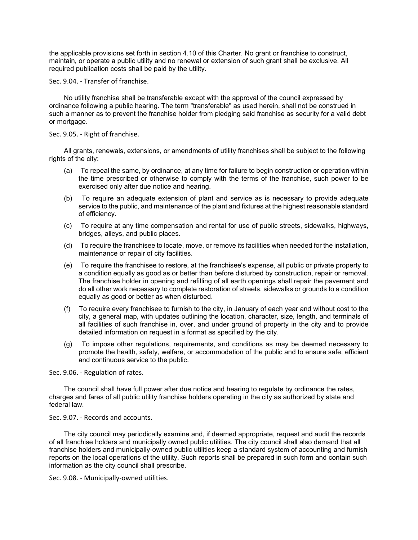the applicable provisions set forth in section 4.10 of this Charter. No grant or franchise to construct, maintain, or operate a public utility and no renewal or extension of such grant shall be exclusive. All required publication costs shall be paid by the utility.

Sec. 9.04. - Transfer of franchise.

No utility franchise shall be transferable except with the approval of the council expressed by ordinance following a public hearing. The term "transferable" as used herein, shall not be construed in such a manner as to prevent the franchise holder from pledging said franchise as security for a valid debt or mortgage.

# Sec. 9.05. - Right of franchise.

All grants, renewals, extensions, or amendments of utility franchises shall be subject to the following rights of the city:

- (a) To repeal the same, by ordinance, at any time for failure to begin construction or operation within the time prescribed or otherwise to comply with the terms of the franchise, such power to be exercised only after due notice and hearing.
- (b) To require an adequate extension of plant and service as is necessary to provide adequate service to the public, and maintenance of the plant and fixtures at the highest reasonable standard of efficiency.
- (c) To require at any time compensation and rental for use of public streets, sidewalks, highways, bridges, alleys, and public places.
- (d) To require the franchisee to locate, move, or remove its facilities when needed for the installation, maintenance or repair of city facilities.
- (e) To require the franchisee to restore, at the franchisee's expense, all public or private property to a condition equally as good as or better than before disturbed by construction, repair or removal. The franchise holder in opening and refilling of all earth openings shall repair the pavement and do all other work necessary to complete restoration of streets, sidewalks or grounds to a condition equally as good or better as when disturbed.
- (f) To require every franchisee to furnish to the city, in January of each year and without cost to the city, a general map, with updates outlining the location, character, size, length, and terminals of all facilities of such franchise in, over, and under ground of property in the city and to provide detailed information on request in a format as specified by the city.
- (g) To impose other regulations, requirements, and conditions as may be deemed necessary to promote the health, safety, welfare, or accommodation of the public and to ensure safe, efficient and continuous service to the public.

Sec. 9.06. - Regulation of rates.

The council shall have full power after due notice and hearing to regulate by ordinance the rates, charges and fares of all public utility franchise holders operating in the city as authorized by state and federal law.

Sec. 9.07. - Records and accounts.

The city council may periodically examine and, if deemed appropriate, request and audit the records of all franchise holders and municipally owned public utilities. The city council shall also demand that all franchise holders and municipally-owned public utilities keep a standard system of accounting and furnish reports on the local operations of the utility. Such reports shall be prepared in such form and contain such information as the city council shall prescribe.

Sec. 9.08. - Municipally-owned utilities.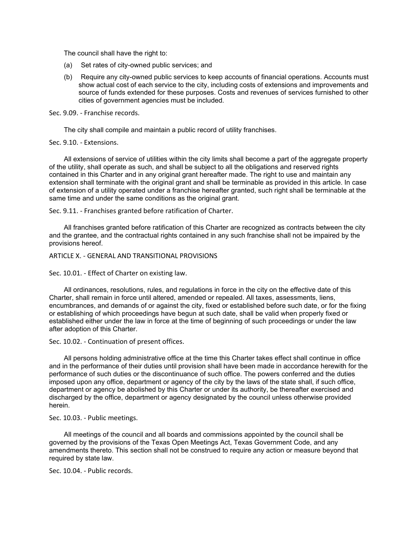The council shall have the right to:

- (a) Set rates of city-owned public services; and
- (b) Require any city-owned public services to keep accounts of financial operations. Accounts must show actual cost of each service to the city, including costs of extensions and improvements and source of funds extended for these purposes. Costs and revenues of services furnished to other cities of government agencies must be included.

Sec. 9.09. - Franchise records.

The city shall compile and maintain a public record of utility franchises.

Sec. 9.10. - Extensions.

All extensions of service of utilities within the city limits shall become a part of the aggregate property of the utility, shall operate as such, and shall be subject to all the obligations and reserved rights contained in this Charter and in any original grant hereafter made. The right to use and maintain any extension shall terminate with the original grant and shall be terminable as provided in this article. In case of extension of a utility operated under a franchise hereafter granted, such right shall be terminable at the same time and under the same conditions as the original grant.

Sec. 9.11. - Franchises granted before ratification of Charter.

All franchises granted before ratification of this Charter are recognized as contracts between the city and the grantee, and the contractual rights contained in any such franchise shall not be impaired by the provisions hereof.

ARTICLE X. - GENERAL AND TRANSITIONAL PROVISIONS

Sec. 10.01. - Effect of Charter on existing law.

All ordinances, resolutions, rules, and regulations in force in the city on the effective date of this Charter, shall remain in force until altered, amended or repealed. All taxes, assessments, liens, encumbrances, and demands of or against the city, fixed or established before such date, or for the fixing or establishing of which proceedings have begun at such date, shall be valid when properly fixed or established either under the law in force at the time of beginning of such proceedings or under the law after adoption of this Charter.

Sec. 10.02. - Continuation of present offices.

All persons holding administrative office at the time this Charter takes effect shall continue in office and in the performance of their duties until provision shall have been made in accordance herewith for the performance of such duties or the discontinuance of such office. The powers conferred and the duties imposed upon any office, department or agency of the city by the laws of the state shall, if such office, department or agency be abolished by this Charter or under its authority, be thereafter exercised and discharged by the office, department or agency designated by the council unless otherwise provided herein.

Sec. 10.03. - Public meetings.

All meetings of the council and all boards and commissions appointed by the council shall be governed by the provisions of the Texas Open Meetings Act, Texas Government Code, and any amendments thereto. This section shall not be construed to require any action or measure beyond that required by state law.

Sec. 10.04. - Public records.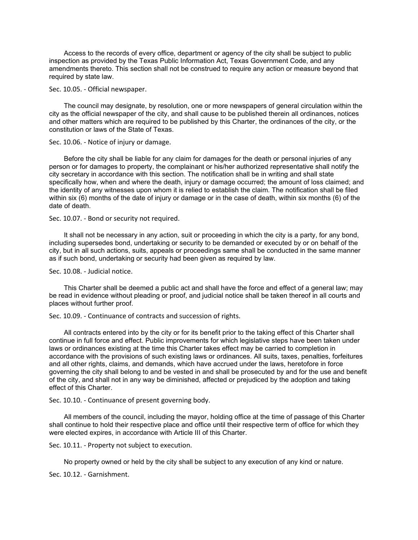Access to the records of every office, department or agency of the city shall be subject to public inspection as provided by the Texas Public Information Act, Texas Government Code, and any amendments thereto. This section shall not be construed to require any action or measure beyond that required by state law.

Sec. 10.05. - Official newspaper.

The council may designate, by resolution, one or more newspapers of general circulation within the city as the official newspaper of the city, and shall cause to be published therein all ordinances, notices and other matters which are required to be published by this Charter, the ordinances of the city, or the constitution or laws of the State of Texas.

Sec. 10.06. - Notice of injury or damage.

Before the city shall be liable for any claim for damages for the death or personal injuries of any person or for damages to property, the complainant or his/her authorized representative shall notify the city secretary in accordance with this section. The notification shall be in writing and shall state specifically how, when and where the death, injury or damage occurred; the amount of loss claimed; and the identity of any witnesses upon whom it is relied to establish the claim. The notification shall be filed within six (6) months of the date of injury or damage or in the case of death, within six months (6) of the date of death.

Sec. 10.07. - Bond or security not required.

It shall not be necessary in any action, suit or proceeding in which the city is a party, for any bond, including supersedes bond, undertaking or security to be demanded or executed by or on behalf of the city, but in all such actions, suits, appeals or proceedings same shall be conducted in the same manner as if such bond, undertaking or security had been given as required by law.

Sec. 10.08. - Judicial notice.

This Charter shall be deemed a public act and shall have the force and effect of a general law; may be read in evidence without pleading or proof, and judicial notice shall be taken thereof in all courts and places without further proof.

Sec. 10.09. - Continuance of contracts and succession of rights.

All contracts entered into by the city or for its benefit prior to the taking effect of this Charter shall continue in full force and effect. Public improvements for which legislative steps have been taken under laws or ordinances existing at the time this Charter takes effect may be carried to completion in accordance with the provisions of such existing laws or ordinances. All suits, taxes, penalties, forfeitures and all other rights, claims, and demands, which have accrued under the laws, heretofore in force governing the city shall belong to and be vested in and shall be prosecuted by and for the use and benefit of the city, and shall not in any way be diminished, affected or prejudiced by the adoption and taking effect of this Charter.

Sec. 10.10. - Continuance of present governing body.

All members of the council, including the mayor, holding office at the time of passage of this Charter shall continue to hold their respective place and office until their respective term of office for which they were elected expires, in accordance with Article III of this Charter.

Sec. 10.11. - Property not subject to execution.

No property owned or held by the city shall be subject to any execution of any kind or nature.

Sec. 10.12. - Garnishment.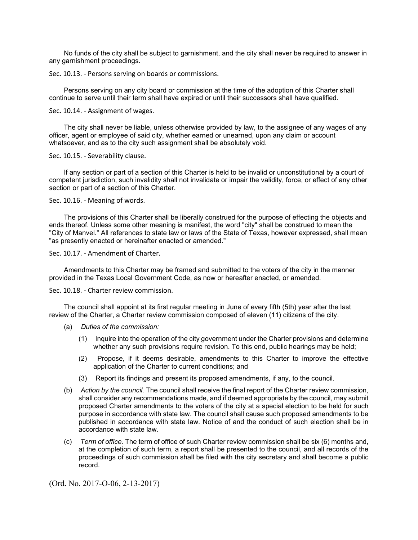No funds of the city shall be subject to garnishment, and the city shall never be required to answer in any garnishment proceedings.

Sec. 10.13. - Persons serving on boards or commissions.

Persons serving on any city board or commission at the time of the adoption of this Charter shall continue to serve until their term shall have expired or until their successors shall have qualified.

Sec. 10.14. - Assignment of wages.

The city shall never be liable, unless otherwise provided by law, to the assignee of any wages of any officer, agent or employee of said city, whether earned or unearned, upon any claim or account whatsoever, and as to the city such assignment shall be absolutely void.

Sec. 10.15. - Severability clause.

If any section or part of a section of this Charter is held to be invalid or unconstitutional by a court of competent jurisdiction, such invalidity shall not invalidate or impair the validity, force, or effect of any other section or part of a section of this Charter.

Sec. 10.16. - Meaning of words.

The provisions of this Charter shall be liberally construed for the purpose of effecting the objects and ends thereof. Unless some other meaning is manifest, the word "city" shall be construed to mean the "City of Manvel." All references to state law or laws of the State of Texas, however expressed, shall mean "as presently enacted or hereinafter enacted or amended."

Sec. 10.17. - Amendment of Charter.

Amendments to this Charter may be framed and submitted to the voters of the city in the manner provided in the Texas Local Government Code, as now or hereafter enacted, or amended.

### Sec. 10.18. - Charter review commission.

The council shall appoint at its first regular meeting in June of every fifth (5th) year after the last review of the Charter, a Charter review commission composed of eleven (11) citizens of the city.

- (a) *Duties of the commission:*
	- (1) Inquire into the operation of the city government under the Charter provisions and determine whether any such provisions require revision. To this end, public hearings may be held;
	- (2) Propose, if it deems desirable, amendments to this Charter to improve the effective application of the Charter to current conditions; and
	- (3) Report its findings and present its proposed amendments, if any, to the council.
- (b) *Action by the council.* The council shall receive the final report of the Charter review commission, shall consider any recommendations made, and if deemed appropriate by the council, may submit proposed Charter amendments to the voters of the city at a special election to be held for such purpose in accordance with state law. The council shall cause such proposed amendments to be published in accordance with state law. Notice of and the conduct of such election shall be in accordance with state law.
- (c) *Term of office.* The term of office of such Charter review commission shall be six (6) months and, at the completion of such term, a report shall be presented to the council, and all records of the proceedings of such commission shall be filed with the city secretary and shall become a public record.

(Ord. No. 2017-O-06, 2-13-2017)